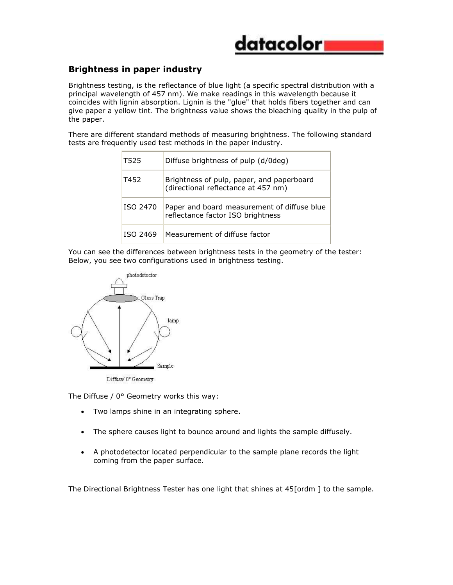

## **Brightness in paper industry**

Brightness testing, is the reflectance of blue light (a specific spectral distribution with a principal wavelength of 457 nm). We make readings in this wavelength because it coincides with lignin absorption. Lignin is the "glue" that holds fibers together and can give paper a yellow tint. The brightness value shows the bleaching quality in the pulp of the paper.

There are different standard methods of measuring brightness. The following standard tests are frequently used test methods in the paper industry.

| T525     | Diffuse brightness of pulp (d/0deg)                                              |
|----------|----------------------------------------------------------------------------------|
| T452     | Brightness of pulp, paper, and paperboard<br>(directional reflectance at 457 nm) |
| ISO 2470 | Paper and board measurement of diffuse blue<br>reflectance factor ISO brightness |
| ISO 2469 | Measurement of diffuse factor                                                    |

You can see the differences between brightness tests in the geometry of the tester: Below, you see two configurations used in brightness testing.



Diffuse/0° Geometry

The Diffuse / 0° Geometry works this way:

- Two lamps shine in an integrating sphere.
- The sphere causes light to bounce around and lights the sample diffusely.
- A photodetector located perpendicular to the sample plane records the light coming from the paper surface.

The Directional Brightness Tester has one light that shines at 45[ordm ] to the sample.